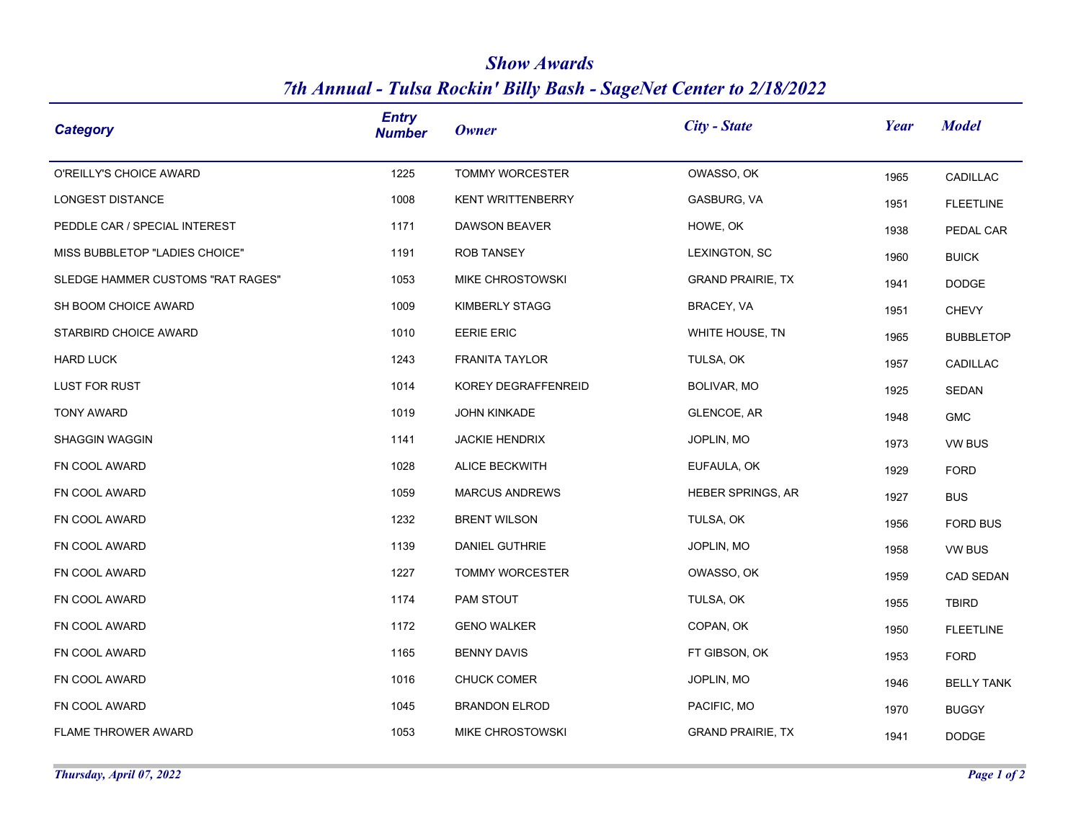| <b>Show Awards</b>                                                  |
|---------------------------------------------------------------------|
| 7th Annual - Tulsa Rockin' Billy Bash - SageNet Center to 2/18/2022 |

| Category                          | <b>Entry</b><br><b>Number</b> | <b>Owner</b>             | $City - State$           | Year | <b>Model</b>      |
|-----------------------------------|-------------------------------|--------------------------|--------------------------|------|-------------------|
| O'REILLY'S CHOICE AWARD           | 1225                          | <b>TOMMY WORCESTER</b>   | OWASSO, OK               | 1965 | CADILLAC          |
| LONGEST DISTANCE                  | 1008                          | <b>KENT WRITTENBERRY</b> | GASBURG, VA              | 1951 | <b>FLEETLINE</b>  |
| PEDDLE CAR / SPECIAL INTEREST     | 1171                          | DAWSON BEAVER            | HOWE, OK                 | 1938 | PEDAL CAR         |
| MISS BUBBLETOP "LADIES CHOICE"    | 1191                          | <b>ROB TANSEY</b>        | LEXINGTON, SC            | 1960 | <b>BUICK</b>      |
| SLEDGE HAMMER CUSTOMS "RAT RAGES" | 1053                          | MIKE CHROSTOWSKI         | <b>GRAND PRAIRIE, TX</b> | 1941 | <b>DODGE</b>      |
| SH BOOM CHOICE AWARD              | 1009                          | KIMBERLY STAGG           | BRACEY, VA               | 1951 | <b>CHEVY</b>      |
| STARBIRD CHOICE AWARD             | 1010                          | <b>EERIE ERIC</b>        | WHITE HOUSE, TN          | 1965 | <b>BUBBLETOP</b>  |
| <b>HARD LUCK</b>                  | 1243                          | FRANITA TAYLOR           | TULSA, OK                | 1957 | CADILLAC          |
| <b>LUST FOR RUST</b>              | 1014                          | KOREY DEGRAFFENREID      | BOLIVAR, MO              | 1925 | SEDAN             |
| <b>TONY AWARD</b>                 | 1019                          | JOHN KINKADE             | <b>GLENCOE, AR</b>       | 1948 | <b>GMC</b>        |
| <b>SHAGGIN WAGGIN</b>             | 1141                          | <b>JACKIE HENDRIX</b>    | JOPLIN, MO               | 1973 | <b>VW BUS</b>     |
| FN COOL AWARD                     | 1028                          | <b>ALICE BECKWITH</b>    | EUFAULA, OK              | 1929 | <b>FORD</b>       |
| FN COOL AWARD                     | 1059                          | <b>MARCUS ANDREWS</b>    | <b>HEBER SPRINGS, AR</b> | 1927 | <b>BUS</b>        |
| FN COOL AWARD                     | 1232                          | <b>BRENT WILSON</b>      | TULSA, OK                | 1956 | <b>FORD BUS</b>   |
| FN COOL AWARD                     | 1139                          | DANIEL GUTHRIE           | JOPLIN, MO               | 1958 | VW BUS            |
| FN COOL AWARD                     | 1227                          | TOMMY WORCESTER          | OWASSO, OK               | 1959 | <b>CAD SEDAN</b>  |
| FN COOL AWARD                     | 1174                          | PAM STOUT                | TULSA, OK                | 1955 | <b>TBIRD</b>      |
| FN COOL AWARD                     | 1172                          | <b>GENO WALKER</b>       | COPAN, OK                | 1950 | <b>FLEETLINE</b>  |
| FN COOL AWARD                     | 1165                          | <b>BENNY DAVIS</b>       | FT GIBSON, OK            | 1953 | <b>FORD</b>       |
| FN COOL AWARD                     | 1016                          | <b>CHUCK COMER</b>       | JOPLIN, MO               | 1946 | <b>BELLY TANK</b> |
| FN COOL AWARD                     | 1045                          | <b>BRANDON ELROD</b>     | PACIFIC, MO              | 1970 | <b>BUGGY</b>      |
| <b>FLAME THROWER AWARD</b>        | 1053                          | MIKE CHROSTOWSKI         | <b>GRAND PRAIRIE, TX</b> | 1941 | <b>DODGE</b>      |